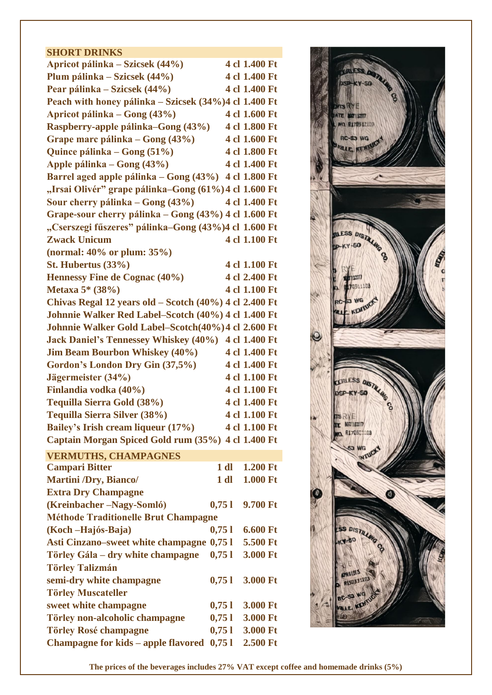## **SHORT DRINKS**

| Apricot pálinka – Szicsek (44%)                                            |        | 4 cl 1.400 Ft |
|----------------------------------------------------------------------------|--------|---------------|
| Plum pálinka – Szicsek (44%)                                               |        | 4 cl 1.400 Ft |
| Pear pálinka – Szicsek (44%)                                               |        | 4 cl 1.400 Ft |
| Peach with honey pálinka – Szicsek (34%) 4 cl 1.400 Ft                     |        |               |
| Apricot pálinka – Gong (43%)                                               |        | 4 cl 1.600 Ft |
| Raspberry-apple pálinka–Gong (43%)                                         |        | 4 cl 1.800 Ft |
| Grape marc pálinka – Gong (43%)                                            |        | 4 cl 1.600 Ft |
| Quince pálinka – Gong (51%)                                                |        | 4 cl 1.800 Ft |
| Apple pálinka – Gong (43%)                                                 |        | 4 cl 1.400 Ft |
| Barrel aged apple pálinka – Gong (43%)                                     |        | 4 cl 1.800 Ft |
| "Irsai Olivér" grape pálinka–Gong (61%) 4 cl 1.600 Ft                      |        |               |
| Sour cherry pálinka – Gong (43%)                                           |        | 4 cl 1.400 Ft |
| Grape-sour cherry pálinka – Gong (43%) 4 cl 1.600 Ft                       |        |               |
| "Cserszegi fűszeres" pálinka–Gong (43%)4 cl 1.600 Ft                       |        |               |
| <b>Zwack Unicum</b>                                                        |        | 4 cl 1.100 Ft |
| (normal: $40\%$ or plum: $35\%$ )                                          |        |               |
| St. Hubertus $(33\%)$                                                      |        | 4 cl 1.100 Ft |
| Hennessy Fine de Cognac (40%)                                              |        | 4 cl 2.400 Ft |
| Metaxa 5* (38%)                                                            |        | 4 cl 1.100 Ft |
| Chivas Regal 12 years old – Scotch (40%) 4 cl 2.400 Ft                     |        |               |
| Johnnie Walker Red Label-Scotch (40%) 4 cl 1.400 Ft                        |        |               |
| Johnnie Walker Gold Label-Scotch(40%) 4 cl 2.600 Ft                        |        |               |
| Jack Daniel's Tennessey Whiskey (40%) 4 cl 1.400 Ft                        |        |               |
| <b>Jim Beam Bourbon Whiskey (40%)</b>                                      |        | 4 cl 1.400 Ft |
| Gordon's London Dry Gin (37,5%)                                            |        | 4 cl 1.400 Ft |
| Jägermeister (34%)                                                         |        | 4 cl 1.100 Ft |
| Finlandia vodka (40%)                                                      |        | 4 cl 1.100 Ft |
| Tequilla Sierra Gold (38%)                                                 |        | 4 cl 1.400 Ft |
| Tequilla Sierra Silver (38%)                                               |        | 4 cl 1.100 Ft |
| Bailey's Irish cream liqueur (17%) 4 cl 1.100 Ft                           |        |               |
| Captain Morgan Spiced Gold rum (35%) 4 cl 1.400 Ft                         |        |               |
|                                                                            |        |               |
| <b>VERMUTHS, CHAMPAGNES</b><br><b>Campari Bitter</b>                       | $1$ dl | 1.200 Ft      |
| <b>Martini /Dry, Bianco/</b>                                               | $1$ dl | 1.000 Ft      |
| <b>Extra Dry Champagne</b>                                                 |        |               |
| (Kreinbacher-Nagy-Somló)                                                   | 0,751  | 9.700 Ft      |
| <b>Méthode Traditionelle Brut Champagne</b>                                |        |               |
| (Koch – Hajós-Baja)                                                        | 0,751  | 6.600 Ft      |
| Asti Cinzano–sweet white champagne 0,75 l                                  |        | 5.500 Ft      |
| Törley Gála – dry white champagne                                          | 0,751  | 3.000 Ft      |
| <b>Törley Talizmán</b>                                                     |        |               |
|                                                                            | 0,751  | 3.000 Ft      |
| semi-dry white champagne                                                   |        |               |
| <b>Törley Muscateller</b>                                                  |        |               |
| sweet white champagne                                                      | 0,751  | 3.000 Ft      |
| Törley non-alcoholic champagne                                             | 0,751  | 3.000 Ft      |
| <b>Törley Rosé champagne</b><br><b>Champagne for kids – apple flavored</b> | 0,751  | 3.000 Ft      |
|                                                                            | 0,751  | 2.500 Ft      |



**The prices of the beverages includes 27% VAT except coffee and homemade drinks (5%)**